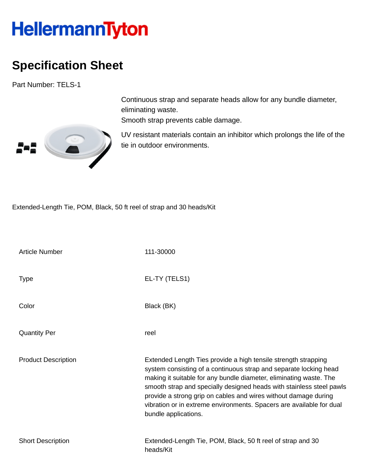## HellermannTyton

## **Specification Sheet**

Part Number: TELS-1



Continuous strap and separate heads allow for any bundle diameter, eliminating waste.

Smooth strap prevents cable damage.

UV resistant materials contain an inhibitor which prolongs the life of the tie in outdoor environments.

Extended-Length Tie, POM, Black, 50 ft reel of strap and 30 heads/Kit

| <b>Article Number</b>      | 111-30000                                                                                                                                                                                                                                                                                                                                                                                                                                            |
|----------------------------|------------------------------------------------------------------------------------------------------------------------------------------------------------------------------------------------------------------------------------------------------------------------------------------------------------------------------------------------------------------------------------------------------------------------------------------------------|
| <b>Type</b>                | EL-TY (TELS1)                                                                                                                                                                                                                                                                                                                                                                                                                                        |
| Color                      | Black (BK)                                                                                                                                                                                                                                                                                                                                                                                                                                           |
| <b>Quantity Per</b>        | reel                                                                                                                                                                                                                                                                                                                                                                                                                                                 |
| <b>Product Description</b> | Extended Length Ties provide a high tensile strength strapping<br>system consisting of a continuous strap and separate locking head<br>making it suitable for any bundle diameter, eliminating waste. The<br>smooth strap and specially designed heads with stainless steel pawls<br>provide a strong grip on cables and wires without damage during<br>vibration or in extreme environments. Spacers are available for dual<br>bundle applications. |
| <b>Short Description</b>   | Extended-Length Tie, POM, Black, 50 ft reel of strap and 30<br>heads/Kit                                                                                                                                                                                                                                                                                                                                                                             |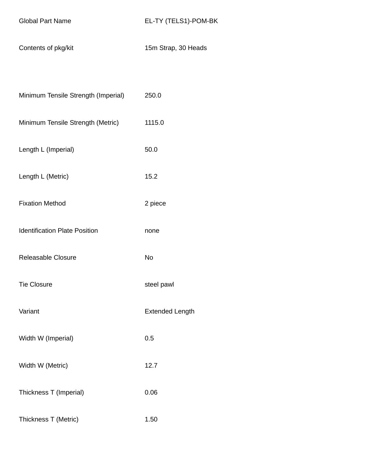Contents of pkg/kit 15m Strap, 30 Heads

| Minimum Tensile Strength (Imperial)  | 250.0                  |
|--------------------------------------|------------------------|
| Minimum Tensile Strength (Metric)    | 1115.0                 |
| Length L (Imperial)                  | 50.0                   |
| Length L (Metric)                    | 15.2                   |
| <b>Fixation Method</b>               | 2 piece                |
| <b>Identification Plate Position</b> | none                   |
| Releasable Closure                   | <b>No</b>              |
| <b>Tie Closure</b>                   | steel pawl             |
| Variant                              | <b>Extended Length</b> |
| Width W (Imperial)                   | 0.5                    |
| Width W (Metric)                     | 12.7                   |
| Thickness T (Imperial)               | 0.06                   |
| Thickness T (Metric)                 | 1.50                   |